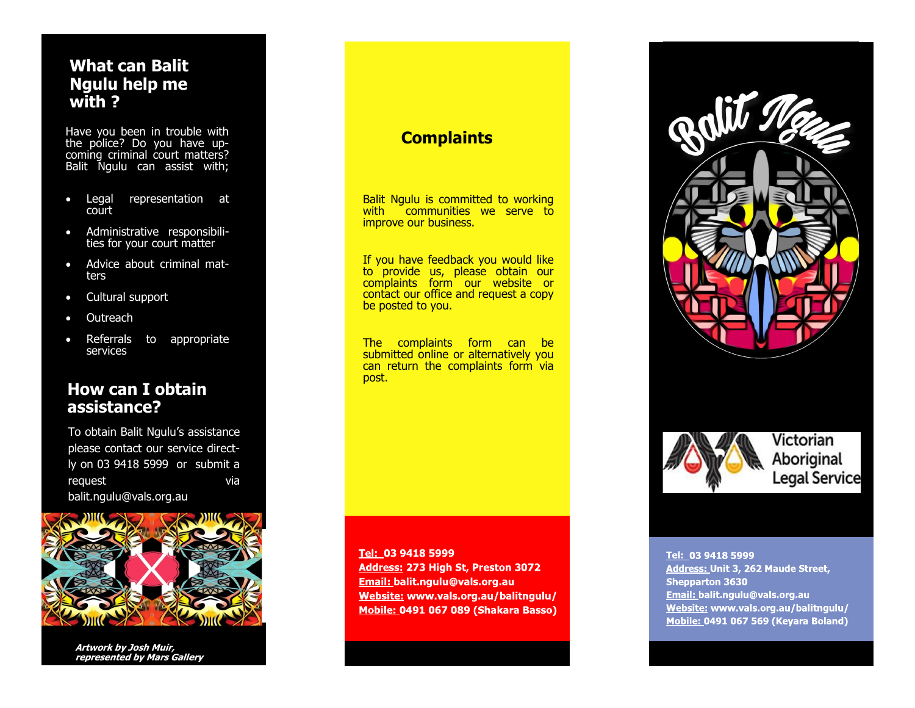## **What can Balit Ngulu help me with ?**

Have you been in trouble with the police? Do you have upcoming criminal court matters? Balit Ngulu can assist with;

- Legal representation at court
- Administrative responsibilities for your court matter
- Advice about criminal matters
- Cultural support
- **Outreach**
- Referrals to appropriate services

## **How can I obtain assistance?**

To obtain Balit Ngulu's assistance please contact our service directly on 03 9418 5999 or submit a request via balit.ngulu@vals.org.au



**Artwork by Josh Muir, represented by Mars Gallery**

## **Complaints**

Balit Ngulu is committed to working with communities we serve to improve our business.

If you have feedback you would like to provide us, please obtain our complaints form our website or contact our office and request a copy be posted to you.

The complaints form can be submitted online or alternatively you can return the complaints form via post.

Tel: 03 9418 5999 Address: 273 High St, Preston 3072 **Email: balit.ngulu@vals.org.au** Website: www.vals.org.au/balitngulu/ Mobile: 0491 067 089 (Shakara Basso)





Victorian Aboriginal **Legal Service** 

#### **Tel:**

Address: Unit 3, 262 Maude Street, **Shepparton 3630** Email: balit.ngulu@vals.org.au Website: www.vals.org.au/balitngulu/ Mobile: 0491 067 569 (Keyara Boland)